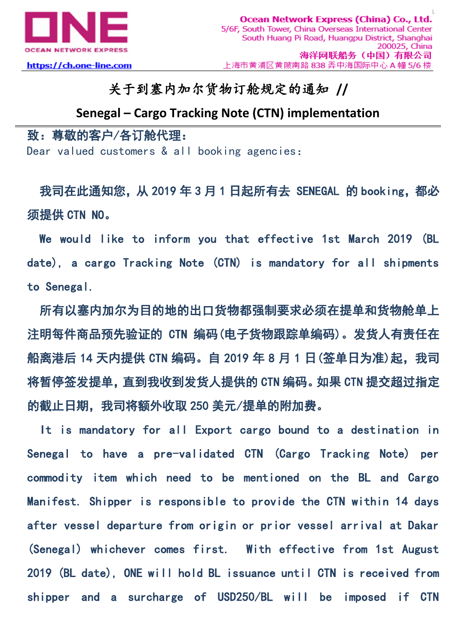

## 关于到塞内加尔货物订舱规定的通知 **//**

## **Senegal – Cargo Tracking Note (CTN) implementation**

## 致:尊敬的客户/各订舱代理:

Dear valued customers & all booking agencies:

我司在此通知您, 从 2019 年 3 月 1 日起所有去 SENEGAL 的 booking, 都必 须提供 CTN NO。

We would like to inform you that effective 1st March 2019 (BL date), a cargo Tracking Note (CTN) is mandatory for all shipments to Senegal.

所有以塞内加尔为目的地的出口货物都强制要求必须在提单和货物舱单上 注明每件商品预先验证的 CTN 编码(电子货物跟踪单编码)。发货人有责任在 船离港后 14 天内提供 CTN 编码。自 2019 年 8 月 1 日 (签单日为准)起, 我司 将暂停签发提单,直到我收到发货人提供的 CTN 编码。如果 CTN 提交超过指定 的截止日期,我司将额外收取 250 美元/提单的附加费。

It is mandatory for all Export cargo bound to a destination in Senegal to have a pre-validated CTN (Cargo Tracking Note) per commodity item which need to be mentioned on the BL and Cargo Manifest. Shipper is responsible to provide the CTN within 14 days after vessel departure from origin or prior vessel arrival at Dakar (Senegal) whichever comes first. With effective from 1st August 2019 (BL date), ONE will hold BL issuance until CTN is received from shipper and a surcharge of USD250/BL will be imposed if CTN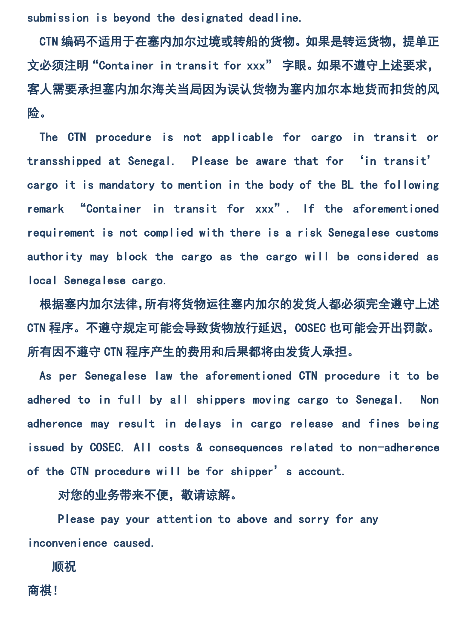submission is beyond the designated deadline.

CTN 编码不适用于在塞内加尔过境或转船的货物。如果是转运货物,提单正 文必须注明"Container in transit for xxx" 字眼。如果不遵守上述要求, 客人需要承担塞内加尔海关当局因为误认货物为塞内加尔本地货而扣货的风 险。

The CTN procedure is not applicable for cargo in transit or transshipped at Senegal. Please be aware that for 'in transit' cargo it is mandatory to mention in the body of the BL the following remark "Container in transit for xxx". If the aforementioned requirement is not complied with there is a risk Senegalese customs authority may block the cargo as the cargo will be considered as local Senegalese cargo.

根据塞内加尔法律,所有将货物运往塞内加尔的发货人都必须完全遵守上述 CTN 程序。不遵守规定可能会导致货物放行延迟, COSEC 也可能会开出罚款。 所有因不遵守 CTN 程序产生的费用和后果都将由发货人承担。

As per Senegalese law the aforementioned CTN procedure it to be adhered to in full by all shippers moving cargo to Senegal. Non adherence may result in delays in cargo release and fines being issued by COSEC. All costs & consequences related to non-adherence of the CTN procedure will be for shipper's account.

对您的业务带来不便, 敬请谅解。

 Please pay your attention to above and sorry for any inconvenience caused.

顺祝

商祺!